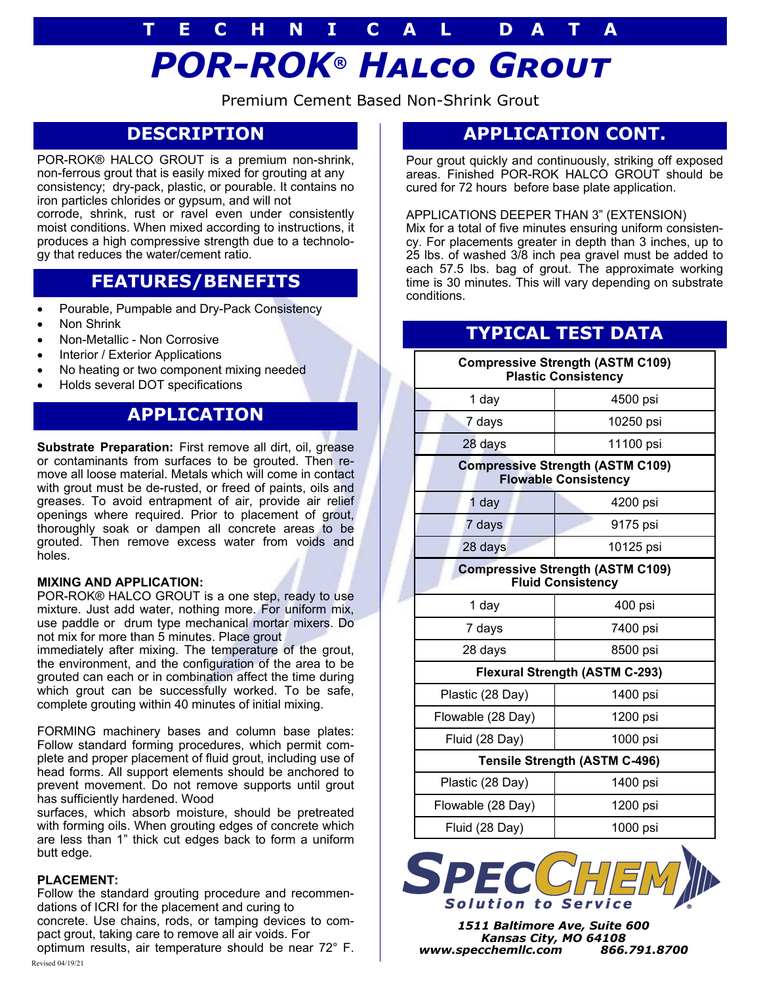# *POR-ROK® Halco Grout* **T E C H N I C A L D A T A**

Premium Cement Based Non-Shrink Grout

# **DESCRIPTION**

POR-ROK® HALCO GROUT is a premium non-shrink, non-ferrous grout that is easily mixed for grouting at any consistency; dry-pack, plastic, or pourable. It contains no iron particles chlorides or gypsum, and will not corrode, shrink, rust or ravel even under consistently moist conditions. When mixed according to instructions, it produces a high compressive strength due to a technology that reduces the water/cement ratio.

### **FEATURES/BENEFITS**

- Pourable, Pumpable and Dry-Pack Consistency
- Non Shrink
- Non-Metallic Non Corrosive
- Interior / Exterior Applications
- No heating or two component mixing needed
- Holds several DOT specifications

### **APPLICATION**

**Substrate Preparation:** First remove all dirt, oil, grease or contaminants from surfaces to be grouted. Then remove all loose material. Metals which will come in contact with grout must be de-rusted, or freed of paints, oils and greases. To avoid entrapment of air, provide air relief openings where required. Prior to placement of grout, thoroughly soak or dampen all concrete areas to be grouted. Then remove excess water from voids and holes.

### **MIXING AND APPLICATION:**

POR-ROK® HALCO GROUT is a one step, ready to use mixture. Just add water, nothing more. For uniform mix, use paddle or drum type mechanical mortar mixers. Do not mix for more than 5 minutes. Place grout

immediately after mixing. The temperature of the grout, the environment, and the configuration of the area to be grouted can each or in combination affect the time during which grout can be successfully worked. To be safe, complete grouting within 40 minutes of initial mixing.

FORMING machinery bases and column base plates: Follow standard forming procedures, which permit complete and proper placement of fluid grout, including use of head forms. All support elements should be anchored to prevent movement. Do not remove supports until grout has sufficiently hardened. Wood

surfaces, which absorb moisture, should be pretreated with forming oils. When grouting edges of concrete which are less than 1" thick cut edges back to form a uniform butt edge.

### **PLACEMENT:**

Follow the standard grouting procedure and recommendations of ICRI for the placement and curing to concrete. Use chains, rods, or tamping devices to compact grout, taking care to remove all air voids. For

optimum results, air temperature should be near 72° F. Revised 04/19/21

### **APPLICATION CONT.**

Pour grout quickly and continuously, striking off exposed areas. Finished POR-ROK HALCO GROUT should be cured for 72 hours before base plate application.

### APPLICATIONS DEEPER THAN 3" (EXTENSION)

Mix for a total of five minutes ensuring uniform consistency. For placements greater in depth than 3 inches, up to 25 lbs. of washed 3/8 inch pea gravel must be added to each 57.5 lbs. bag of grout. The approximate working time is 30 minutes. This will vary depending on substrate conditions.

## **TYPICAL TEST DATA**

| <b>Compressive Strength (ASTM C109)</b><br><b>Plastic Consistency</b>  |           |
|------------------------------------------------------------------------|-----------|
| 1 day                                                                  | 4500 psi  |
| 7 days                                                                 | 10250 psi |
| 28 days                                                                | 11100 psi |
| <b>Compressive Strength (ASTM C109)</b><br><b>Flowable Consistency</b> |           |
| 1 day                                                                  | 4200 psi  |
| 7 days                                                                 | 9175 psi  |
| 28 days                                                                | 10125 psi |
| <b>Compressive Strength (ASTM C109)</b><br><b>Fluid Consistency</b>    |           |
| 1 day                                                                  | 400 psi   |
| 7 days                                                                 | 7400 psi  |
| 28 days                                                                | 8500 psi  |
| <b>Flexural Strength (ASTM C-293)</b>                                  |           |
| Plastic (28 Day)                                                       | 1400 psi  |
| Flowable (28 Day)                                                      | 1200 psi  |
| Fluid (28 Day)                                                         | 1000 psi  |
| <b>Tensile Strength (ASTM C-496)</b>                                   |           |
| Plastic (28 Day)                                                       | 1400 psi  |
| Flowable (28 Day)                                                      | 1200 psi  |
| Fluid (28 Day)                                                         | 1000 psi  |



*1511 Baltimore Ave, Suite 600 Kansas City, MO 64108 www.specchemllc.com 866.791.8700*